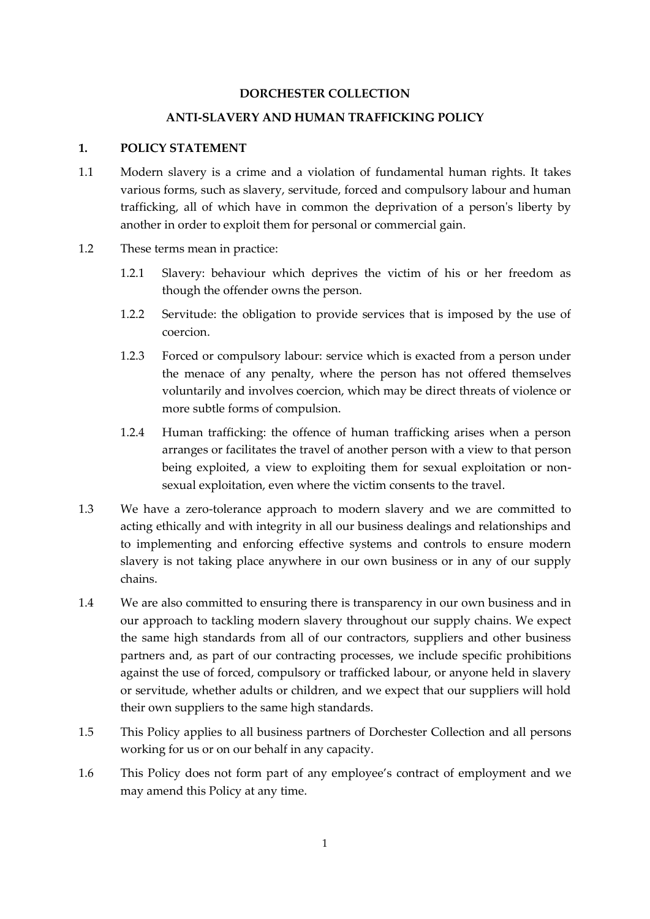### **DORCHESTER COLLECTION**

#### **ANTI-SLAVERY AND HUMAN TRAFFICKING POLICY**

### **1. POLICY STATEMENT**

- 1.1 Modern slavery is a crime and a violation of fundamental human rights. It takes various forms, such as slavery, servitude, forced and compulsory labour and human trafficking, all of which have in common the deprivation of a person's liberty by another in order to exploit them for personal or commercial gain.
- 1.2 These terms mean in practice:
	- 1.2.1 Slavery: behaviour which deprives the victim of his or her freedom as though the offender owns the person.
	- 1.2.2 Servitude: the obligation to provide services that is imposed by the use of coercion.
	- 1.2.3 Forced or compulsory labour: service which is exacted from a person under the menace of any penalty, where the person has not offered themselves voluntarily and involves coercion, which may be direct threats of violence or more subtle forms of compulsion.
	- 1.2.4 Human trafficking: the offence of human trafficking arises when a person arranges or facilitates the travel of another person with a view to that person being exploited, a view to exploiting them for sexual exploitation or nonsexual exploitation, even where the victim consents to the travel.
- 1.3 We have a zero-tolerance approach to modern slavery and we are committed to acting ethically and with integrity in all our business dealings and relationships and to implementing and enforcing effective systems and controls to ensure modern slavery is not taking place anywhere in our own business or in any of our supply chains.
- 1.4 We are also committed to ensuring there is transparency in our own business and in our approach to tackling modern slavery throughout our supply chains. We expect the same high standards from all of our contractors, suppliers and other business partners and, as part of our contracting processes, we include specific prohibitions against the use of forced, compulsory or trafficked labour, or anyone held in slavery or servitude, whether adults or children, and we expect that our suppliers will hold their own suppliers to the same high standards.
- 1.5 This Policy applies to all business partners of Dorchester Collection and all persons working for us or on our behalf in any capacity.
- 1.6 This Policy does not form part of any employee's contract of employment and we may amend this Policy at any time.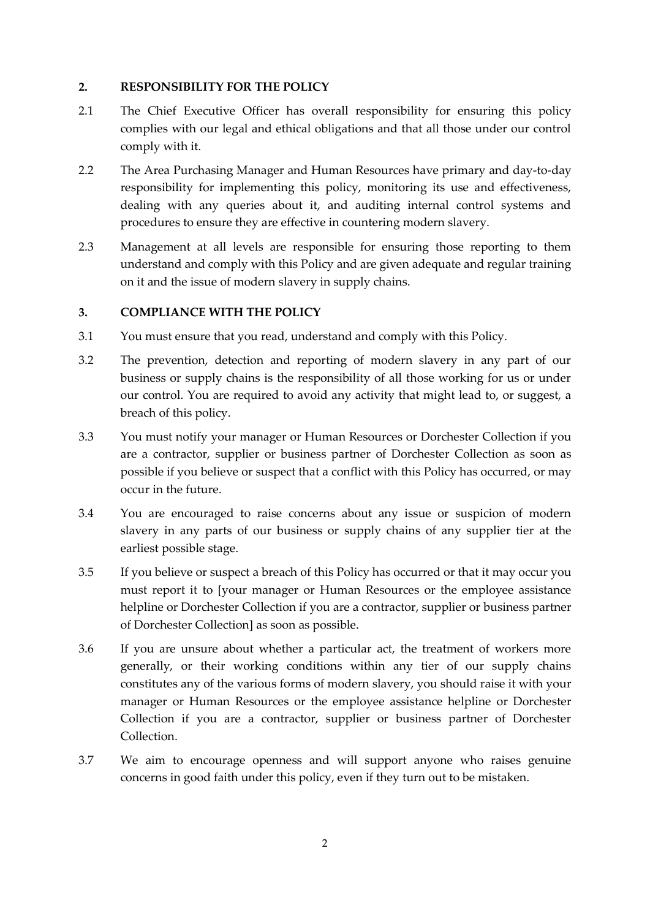## **2. RESPONSIBILITY FOR THE POLICY**

- 2.1 The Chief Executive Officer has overall responsibility for ensuring this policy complies with our legal and ethical obligations and that all those under our control comply with it.
- 2.2 The Area Purchasing Manager and Human Resources have primary and day-to-day responsibility for implementing this policy, monitoring its use and effectiveness, dealing with any queries about it, and auditing internal control systems and procedures to ensure they are effective in countering modern slavery.
- 2.3 Management at all levels are responsible for ensuring those reporting to them understand and comply with this Policy and are given adequate and regular training on it and the issue of modern slavery in supply chains.

### **3. COMPLIANCE WITH THE POLICY**

- 3.1 You must ensure that you read, understand and comply with this Policy.
- 3.2 The prevention, detection and reporting of modern slavery in any part of our business or supply chains is the responsibility of all those working for us or under our control. You are required to avoid any activity that might lead to, or suggest, a breach of this policy.
- 3.3 You must notify your manager or Human Resources or Dorchester Collection if you are a contractor, supplier or business partner of Dorchester Collection as soon as possible if you believe or suspect that a conflict with this Policy has occurred, or may occur in the future.
- 3.4 You are encouraged to raise concerns about any issue or suspicion of modern slavery in any parts of our business or supply chains of any supplier tier at the earliest possible stage.
- 3.5 If you believe or suspect a breach of this Policy has occurred or that it may occur you must report it to [your manager or Human Resources or the employee assistance helpline or Dorchester Collection if you are a contractor, supplier or business partner of Dorchester Collection] as soon as possible.
- 3.6 If you are unsure about whether a particular act, the treatment of workers more generally, or their working conditions within any tier of our supply chains constitutes any of the various forms of modern slavery, you should raise it with your manager or Human Resources or the employee assistance helpline or Dorchester Collection if you are a contractor, supplier or business partner of Dorchester Collection.
- 3.7 We aim to encourage openness and will support anyone who raises genuine concerns in good faith under this policy, even if they turn out to be mistaken.